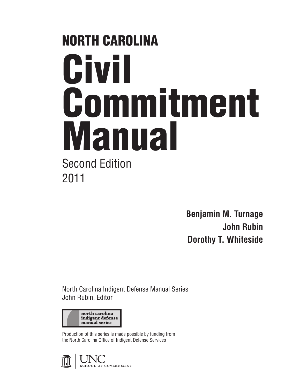# NORTH CAROLINA Civil Commitment Manual Second Edition 2011

**Benjamin M. Turnage John Rubin Dorothy T. Whiteside**

North Carolina Indigent Defense Manual Series John Rubin, Editor



Production of this series is made possible by funding from the North Carolina Office of Indigent Defense Services

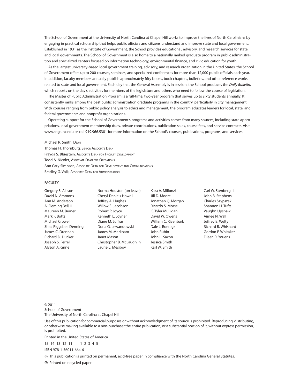The School of Government at the University of North Carolina at Chapel Hill works to improve the lives of North Carolinians by engaging in practical scholarship that helps public officials and citizens understand and improve state and local government. Established in 1931 as the Institute of Government, the School provides educational, advisory, and research services for state and local governments. The School of Government is also home to a nationally ranked graduate program in public administration and specialized centers focused on information technology, environmental finance, and civic education for youth.

As the largest university-based local government training, advisory, and research organization in the United States, the School of Government offers up to 200 courses, seminars, and specialized conferences for more than 12,000 public officials each year. In addition, faculty members annually publish approximately fifty books, book chapters, bulletins, and other reference works related to state and local government. Each day that the General Assembly is in session, the School produces the *Daily Bulletin*, which reports on the day's activities for members of the legislature and others who need to follow the course of legislation.

The Master of Public Administration Program is a full-time, two-year program that serves up to sixty students annually. It consistently ranks among the best public administration graduate programs in the country, particularly in city management. With courses ranging from public policy analysis to ethics and management, the program educates leaders for local, state, and federal governments and nonprofit organizations.

Operating support for the School of Government's programs and activities comes from many sources, including state appropriations, local government membership dues, private contributions, publication sales, course fees, and service contracts. Visit www.sog.unc.edu or call 919.966.5381 for more information on the School's courses, publications, programs, and services.

#### Michael R. Smith, Dean

Thomas H. Thornburg, Senior Associate Dean Frayda S. Bluestein, Associate Dean for Faculty Development Todd A. Nicolet, Associate Dean for Operations Ann Cary Simpson, Associate Dean for Development and Communications Bradley G. Volk, Associate Dean for Administration

#### FACULTY

Gregory S. Allison David N. Ammons Ann M. Anderson A. Fleming Bell, II Maureen M. Berner Mark F. Botts Michael Crowell Shea Riggsbee Denning James C. Drennan Richard D. Ducker Joseph S. Ferrell Alyson A. Grine

Norma Houston (on leave) Cheryl Daniels Howell Jeffrey A. Hughes Willow S. Jacobson Robert P. Joyce Kenneth L. Joyner Diane M. Juffras Dona G. Lewandowski James M. Markham Janet Mason Christopher B. McLaughlin Laurie L. Mesibov

Kara A. Millonzi Jill D. Moore Jonathan Q. Morgan Ricardo S. Morse C. Tyler Mulligan David W. Owens William C. Rivenbark Dale J. Roenigk John Rubin John L. Saxon Jessica Smith Karl W. Smith

Carl W. Stenberg III John B. Stephens Charles Szypszak Shannon H. Tufts Vaughn Upshaw Aimee N. Wall Jeffrey B. Welty Richard B. Whisnant Gordon P. Whitaker Eileen R. Youens

© 2011 School of Government The University of North Carolina at Chapel Hill

Use of this publication for commercial purposes or without acknowledgment of its source is prohibited. Reproducing, distributing, or otherwise making available to a non-purchaser the entire publication, or a substantial portion of it, without express permission, is prohibited.

Printed in the United States of America

15 14 13 12 11 1 2 3 4 5

ISBN 978-1-56011-664-6

This publication is printed on permanent, acid-free paper in compliance with the North Carolina General Statutes.

Printed on recycled paper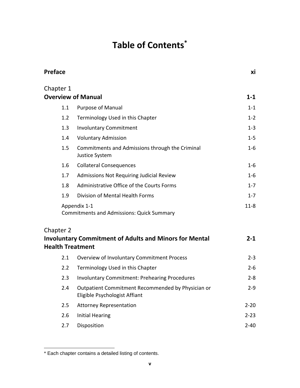### **Table of Contents\***

| <b>Preface</b>                       |                                                                                    | хi       |
|--------------------------------------|------------------------------------------------------------------------------------|----------|
| Chapter 1                            |                                                                                    |          |
|                                      | <b>Overview of Manual</b>                                                          | $1 - 1$  |
| 1.1                                  | <b>Purpose of Manual</b>                                                           | $1 - 1$  |
| 1.2                                  | Terminology Used in this Chapter                                                   | $1 - 2$  |
| 1.3                                  | <b>Involuntary Commitment</b>                                                      | $1-3$    |
| 1.4                                  | <b>Voluntary Admission</b>                                                         | $1 - 5$  |
| 1.5                                  | Commitments and Admissions through the Criminal<br>Justice System                  | $1 - 6$  |
| 1.6                                  | <b>Collateral Consequences</b>                                                     | $1 - 6$  |
| 1.7                                  | Admissions Not Requiring Judicial Review                                           | $1-6$    |
| 1.8                                  | Administrative Office of the Courts Forms                                          | $1 - 7$  |
| 1.9                                  | Division of Mental Health Forms                                                    | $1 - 7$  |
|                                      | Appendix 1-1<br><b>Commitments and Admissions: Quick Summary</b>                   | $11 - 8$ |
| Chapter 2<br><b>Health Treatment</b> | <b>Involuntary Commitment of Adults and Minors for Mental</b>                      | $2 - 1$  |
| 2.1                                  | Overview of Involuntary Commitment Process                                         | $2 - 3$  |
| 2.2                                  | Terminology Used in this Chapter                                                   | $2 - 6$  |
| 2.3                                  | <b>Involuntary Commitment: Prehearing Procedures</b>                               | $2 - 8$  |
| 2.4                                  | Outpatient Commitment Recommended by Physician or<br>Eligible Psychologist Affiant | $2 - 9$  |
| 2.5                                  | <b>Attorney Representation</b>                                                     | $2 - 20$ |
| 2.6                                  | <b>Initial Hearing</b>                                                             | $2 - 23$ |
| 2.7                                  | Disposition                                                                        | $2 - 40$ |

<sup>\*</sup> Each chapter contains a detailed listing of contents.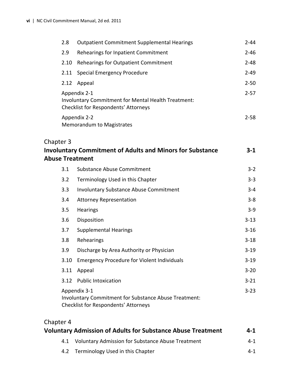|           | 2.8  | <b>Outpatient Commitment Supplemental Hearings</b>                                                            | $2 - 44$ |
|-----------|------|---------------------------------------------------------------------------------------------------------------|----------|
|           | 2.9  | Rehearings for Inpatient Commitment                                                                           | $2 - 46$ |
|           | 2.10 | Rehearings for Outpatient Commitment                                                                          | $2 - 48$ |
|           | 2.11 | Special Emergency Procedure                                                                                   | $2 - 49$ |
|           | 2.12 | Appeal                                                                                                        | $2 - 50$ |
|           |      | Appendix 2-1<br>Involuntary Commitment for Mental Health Treatment:<br>Checklist for Respondents' Attorneys   | $2 - 57$ |
|           |      | Appendix 2-2<br>Memorandum to Magistrates                                                                     | $2 - 58$ |
| Chapter 3 |      | <b>Involuntary Commitment of Adults and Minors for Substance</b><br><b>Abuse Treatment</b>                    | $3-1$    |
|           | 3.1  | <b>Substance Abuse Commitment</b>                                                                             | $3 - 2$  |
|           | 3.2  | Terminology Used in this Chapter                                                                              | $3 - 3$  |
|           | 3.3  | <b>Involuntary Substance Abuse Commitment</b>                                                                 | $3 - 4$  |
|           | 3.4  | <b>Attorney Representation</b>                                                                                | $3 - 8$  |
|           | 3.5  | Hearings                                                                                                      | $3 - 9$  |
|           | 3.6  | Disposition                                                                                                   | $3 - 13$ |
|           | 3.7  | <b>Supplemental Hearings</b>                                                                                  | $3 - 16$ |
|           | 3.8  | Rehearings                                                                                                    | $3 - 18$ |
|           | 3.9  | Discharge by Area Authority or Physician                                                                      | $3 - 19$ |
|           | 3.10 | <b>Emergency Procedure for Violent Individuals</b>                                                            | $3 - 19$ |
|           | 3.11 | Appeal                                                                                                        | $3 - 20$ |
|           | 3.12 | <b>Public Intoxication</b>                                                                                    | $3 - 21$ |
|           |      | Appendix 3-1<br>Involuntary Commitment for Substance Abuse Treatment:<br>Checklist for Respondents' Attorneys | $3 - 23$ |

#### Chapter 4

| <b>Voluntary Admission of Adults for Substance Abuse Treatment</b> | $4 - 1$ |
|--------------------------------------------------------------------|---------|
| 4.1 Voluntary Admission for Substance Abuse Treatment              | 4-1     |
| 4.2 Terminology Used in this Chapter                               | 4-1     |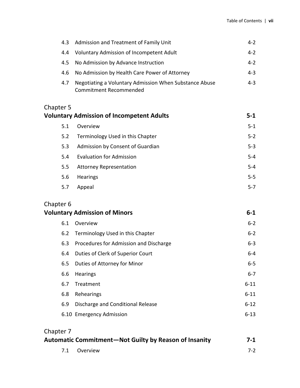|      | 4.3 Admission and Treatment of Family Unit                                              | $4 - 2$ |
|------|-----------------------------------------------------------------------------------------|---------|
| 4.4  | Voluntary Admission of Incompetent Adult                                                | $4 - 2$ |
| 4.5  | No Admission by Advance Instruction                                                     | $4 - 2$ |
| -4.6 | No Admission by Health Care Power of Attorney                                           | $4 - 3$ |
| 4.7  | Negotiating a Voluntary Admission When Substance Abuse<br><b>Commitment Recommended</b> | $4 - 3$ |

### Chapter 5<br>Voluntary

| <b>Voluntary Admission of Incompetent Adults</b> |                                         | $5 - 1$ |
|--------------------------------------------------|-----------------------------------------|---------|
|                                                  | Overview<br>5.1                         | $5 - 1$ |
|                                                  | Terminology Used in this Chapter<br>5.2 | $5 - 2$ |
|                                                  | Admission by Consent of Guardian<br>5.3 | $5 - 3$ |
|                                                  | <b>Evaluation for Admission</b><br>5.4  | $5 - 4$ |
|                                                  | <b>Attorney Representation</b><br>5.5   | $5 - 4$ |
|                                                  | <b>Hearings</b><br>5.6                  | $5 - 5$ |
|                                                  | Appeal<br>5.7                           | $5 - 7$ |
|                                                  |                                         |         |

# Chapter 6<br>Voluntary

| <b>Voluntary Admission of Minors</b> |              | $6 - 1$ |
|--------------------------------------|--------------|---------|
|                                      | 6.1 Overview | $6 - 2$ |

|     | 6.2 Terminology Used in this Chapter   | $6 - 2$  |
|-----|----------------------------------------|----------|
| 6.3 | Procedures for Admission and Discharge | $6 - 3$  |
| 6.4 | Duties of Clerk of Superior Court      | $6-4$    |
| 6.5 | Duties of Attorney for Minor           | $6 - 5$  |
| 6.6 | <b>Hearings</b>                        | $6 - 7$  |
| 6.7 | Treatment                              | $6 - 11$ |
| 6.8 | Rehearings                             | $6 - 11$ |
| 6.9 | Discharge and Conditional Release      | $6 - 12$ |
|     | 6.10 Emergency Admission               | $6 - 13$ |

| Chapter 7 |                                                       |       |
|-----------|-------------------------------------------------------|-------|
|           | Automatic Commitment-Not Guilty by Reason of Insanity | $7-1$ |
|           | 7.1 Overview                                          | $7-2$ |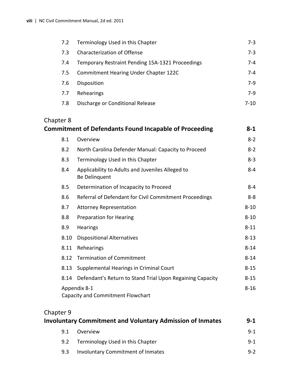| 7.2 | Terminology Used in this Chapter                 | $7-3$ |
|-----|--------------------------------------------------|-------|
| 7.3 | Characterization of Offense                      | $7-3$ |
| 7.4 | Temporary Restraint Pending 15A-1321 Proceedings | 7-4   |
| 7.5 | <b>Commitment Hearing Under Chapter 122C</b>     | 7-4   |
| 7.6 | Disposition                                      | $7-9$ |
| 7.7 | Rehearings                                       | $7-9$ |
| 7.8 | Discharge or Conditional Release                 | 7-10  |

# Chapter 8<br> **Commitm**

|      | <b>Commitment of Defendants Found Incapable of Proceeding</b>     | 8-1      |
|------|-------------------------------------------------------------------|----------|
| 8.1  | Overview                                                          | $8 - 2$  |
| 8.2  | North Carolina Defender Manual: Capacity to Proceed               | $8 - 2$  |
| 8.3  | Terminology Used in this Chapter                                  | $8 - 3$  |
| 8.4  | Applicability to Adults and Juveniles Alleged to<br>Be Delinquent | $8 - 4$  |
| 8.5  | Determination of Incapacity to Proceed                            | $8 - 4$  |
| 8.6  | Referral of Defendant for Civil Commitment Proceedings            | $8 - 8$  |
| 8.7  | <b>Attorney Representation</b>                                    | $8 - 10$ |
| 8.8  | <b>Preparation for Hearing</b>                                    | $8 - 10$ |
| 8.9  | Hearings                                                          | $8 - 11$ |
| 8.10 | <b>Dispositional Alternatives</b>                                 | $8 - 13$ |
| 8.11 | Rehearings                                                        | $8 - 14$ |
| 8.12 | <b>Termination of Commitment</b>                                  | $8 - 14$ |
| 8.13 | Supplemental Hearings in Criminal Court                           | $8 - 15$ |
| 8.14 | Defendant's Return to Stand Trial Upon Regaining Capacity         | $8 - 15$ |
|      | Appendix 8-1<br>Capacity and Commitment Flowchart                 | $8 - 16$ |

#### Chapter 9

| <b>Involuntary Commitment and Voluntary Admission of Inmates</b> |                                   | $9 - 1$ |
|------------------------------------------------------------------|-----------------------------------|---------|
| 9.1                                                              | Overview                          | $9 - 1$ |
| 9.2                                                              | Terminology Used in this Chapter  | $9 - 1$ |
| 9.3                                                              | Involuntary Commitment of Inmates | $9 - 2$ |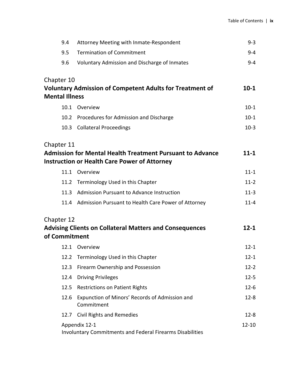| 9.4                   | Attorney Meeting with Inmate-Respondent                                                                                 | $9 - 3$   |
|-----------------------|-------------------------------------------------------------------------------------------------------------------------|-----------|
| 9.5                   | <b>Termination of Commitment</b>                                                                                        | $9 - 4$   |
| 9.6                   | Voluntary Admission and Discharge of Inmates                                                                            | $9 - 4$   |
| Chapter 10            |                                                                                                                         |           |
|                       | <b>Voluntary Admission of Competent Adults for Treatment of</b>                                                         | $10-1$    |
| <b>Mental Illness</b> |                                                                                                                         |           |
|                       | 10.1 Overview                                                                                                           | $10-1$    |
|                       | 10.2 Procedures for Admission and Discharge                                                                             | $10 - 1$  |
|                       | 10.3 Collateral Proceedings                                                                                             | $10-3$    |
| Chapter 11            |                                                                                                                         |           |
|                       | <b>Admission for Mental Health Treatment Pursuant to Advance</b><br><b>Instruction or Health Care Power of Attorney</b> | $11 - 1$  |
|                       | 11.1 Overview                                                                                                           | $11 - 1$  |
|                       | 11.2 Terminology Used in this Chapter                                                                                   | $11 - 2$  |
|                       | 11.3 Admission Pursuant to Advance Instruction                                                                          | $11-3$    |
|                       | 11.4 Admission Pursuant to Health Care Power of Attorney                                                                | $11 - 4$  |
| Chapter 12            |                                                                                                                         |           |
| of Commitment         | <b>Advising Clients on Collateral Matters and Consequences</b>                                                          | $12 - 1$  |
|                       | 12.1 Overview                                                                                                           | $12 - 1$  |
|                       | 12.2 Terminology Used in this Chapter                                                                                   | $12 - 1$  |
| 12.3                  | Firearm Ownership and Possession                                                                                        | $12 - 2$  |
| 12.4                  | <b>Driving Privileges</b>                                                                                               | $12 - 5$  |
| 12.5                  | <b>Restrictions on Patient Rights</b>                                                                                   | $12-6$    |
| 12.6                  | Expunction of Minors' Records of Admission and<br>Commitment                                                            | $12 - 8$  |
| 12.7                  | <b>Civil Rights and Remedies</b>                                                                                        | $12 - 8$  |
|                       | Appendix 12-1<br><b>Involuntary Commitments and Federal Firearms Disabilities</b>                                       | $12 - 10$ |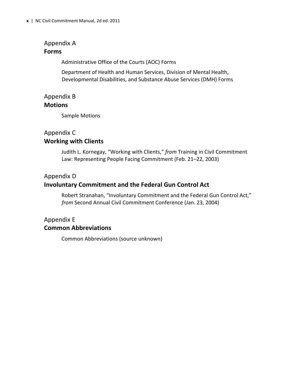#### Appendix A **Forms**

Administrative Office of the Courts (AOC) Forms

Department of Health and Human Services, Division of Mental Health, Developmental Disabilities, and Substance Abuse Services (DMH) Forms

#### Appendix B

#### **Motions**

Sample Motions

### Appendix C

#### **Working with Clients**

Judith L. Kornegay, "Working with Clients," *from* Training in Civil Commitment Law: Representing People Facing Commitment (Feb. 21–22, 2003)

#### Appendix D

#### **Involuntary Commitment and the Federal Gun Control Act**

Robert Stranahan, "Involuntary Commitment and the Federal Gun Control Act," *from* Second Annual Civil Commitment Conference (Jan. 23, 2004)

#### Appendix E **Common Abbreviations**

Common Abbreviations (source unknown)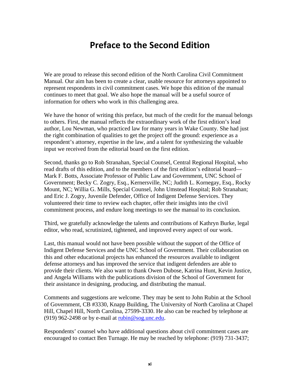#### **Preface to the Second Edition**

We are proud to release this second edition of the North Carolina Civil Commitment Manual. Our aim has been to create a clear, usable resource for attorneys appointed to represent respondents in civil commitment cases. We hope this edition of the manual continues to meet that goal. We also hope the manual will be a useful source of information for others who work in this challenging area.

We have the honor of writing this preface, but much of the credit for the manual belongs to others. First, the manual reflects the extraordinary work of the first edition's lead author, Lou Newman, who practiced law for many years in Wake County. She had just the right combination of qualities to get the project off the ground: experience as a respondent's attorney, expertise in the law, and a talent for synthesizing the valuable input we received from the editorial board on the first edition.

Second, thanks go to Rob Stranahan, Special Counsel, Central Regional Hospital, who read drafts of this edition, and to the members of the first edition's editorial board— Mark F. Botts, Associate Professor of Public Law and Government, UNC School of Government; Becky C. Zogry, Esq., Kernersville, NC; Judith L. Kornegay, Esq., Rocky Mount, NC; Willia G. Mills, Special Counsel, John Umstead Hospital; Rob Stranahan; and Eric J. Zogry, Juvenile Defender, Office of Indigent Defense Services. They volunteered their time to review each chapter, offer their insights into the civil commitment process, and endure long meetings to see the manual to its conclusion.

Third, we gratefully acknowledge the talents and contributions of Kathryn Burke, legal editor, who read, scrutinized, tightened, and improved every aspect of our work.

Last, this manual would not have been possible without the support of the Office of Indigent Defense Services and the UNC School of Government. Their collaboration on this and other educational projects has enhanced the resources available to indigent defense attorneys and has improved the service that indigent defenders are able to provide their clients. We also want to thank Owen Dubose, Katrina Hunt, Kevin Justice, and Angela Williams with the publications division of the School of Government for their assistance in designing, producing, and distributing the manual.

Comments and suggestions are welcome. They may be sent to John Rubin at the School of Government, CB #3330, Knapp Building, The University of North Carolina at Chapel Hill, Chapel Hill, North Carolina, 27599-3330. He also can be reached by telephone at (919) 962-2498 or by e-mail at  $\pi$ ubin@sog.unc.edu.

Respondents' counsel who have additional questions about civil commitment cases are encouraged to contact Ben Turnage. He may be reached by telephone: (919) 731-3437;